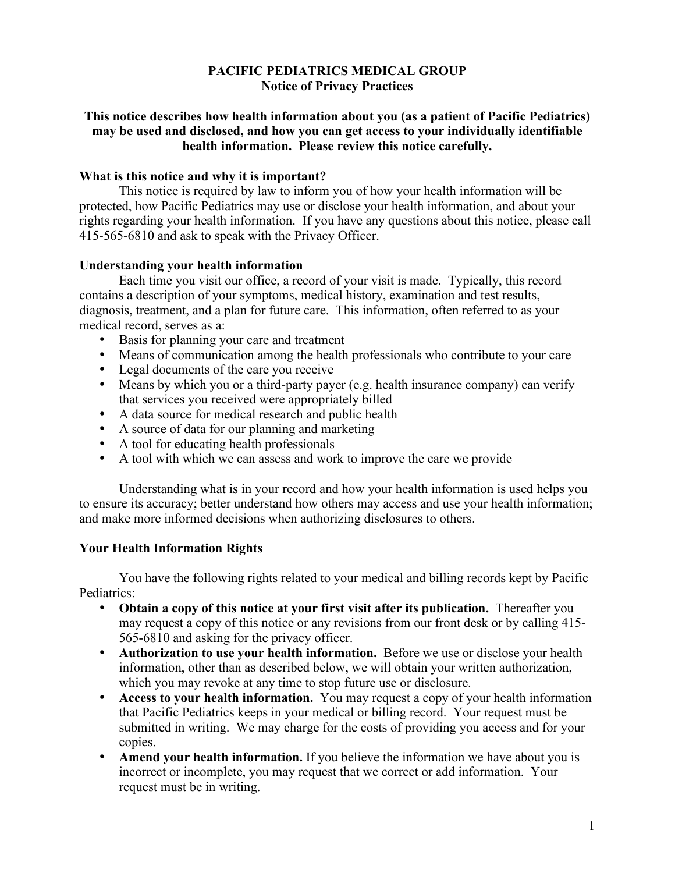## **PACIFIC PEDIATRICS MEDICAL GROUP Notice of Privacy Practices**

## **This notice describes how health information about you (as a patient of Pacific Pediatrics) may be used and disclosed, and how you can get access to your individually identifiable health information. Please review this notice carefully.**

## **What is this notice and why it is important?**

This notice is required by law to inform you of how your health information will be protected, how Pacific Pediatrics may use or disclose your health information, and about your rights regarding your health information. If you have any questions about this notice, please call 415-565-6810 and ask to speak with the Privacy Officer.

## **Understanding your health information**

Each time you visit our office, a record of your visit is made. Typically, this record contains a description of your symptoms, medical history, examination and test results, diagnosis, treatment, and a plan for future care. This information, often referred to as your medical record, serves as a:

- Basis for planning your care and treatment
- Means of communication among the health professionals who contribute to your care
- Legal documents of the care you receive
- Means by which you or a third-party payer (e.g. health insurance company) can verify that services you received were appropriately billed
- A data source for medical research and public health
- A source of data for our planning and marketing
- A tool for educating health professionals
- A tool with which we can assess and work to improve the care we provide

Understanding what is in your record and how your health information is used helps you to ensure its accuracy; better understand how others may access and use your health information; and make more informed decisions when authorizing disclosures to others.

# **Your Health Information Rights**

You have the following rights related to your medical and billing records kept by Pacific Pediatrics:

- **Obtain a copy of this notice at your first visit after its publication.** Thereafter you may request a copy of this notice or any revisions from our front desk or by calling 415- 565-6810 and asking for the privacy officer.
- **Authorization to use your health information.** Before we use or disclose your health information, other than as described below, we will obtain your written authorization, which you may revoke at any time to stop future use or disclosure.
- **Access to your health information.** You may request a copy of your health information that Pacific Pediatrics keeps in your medical or billing record. Your request must be submitted in writing. We may charge for the costs of providing you access and for your copies.
- **Amend your health information.** If you believe the information we have about you is incorrect or incomplete, you may request that we correct or add information. Your request must be in writing.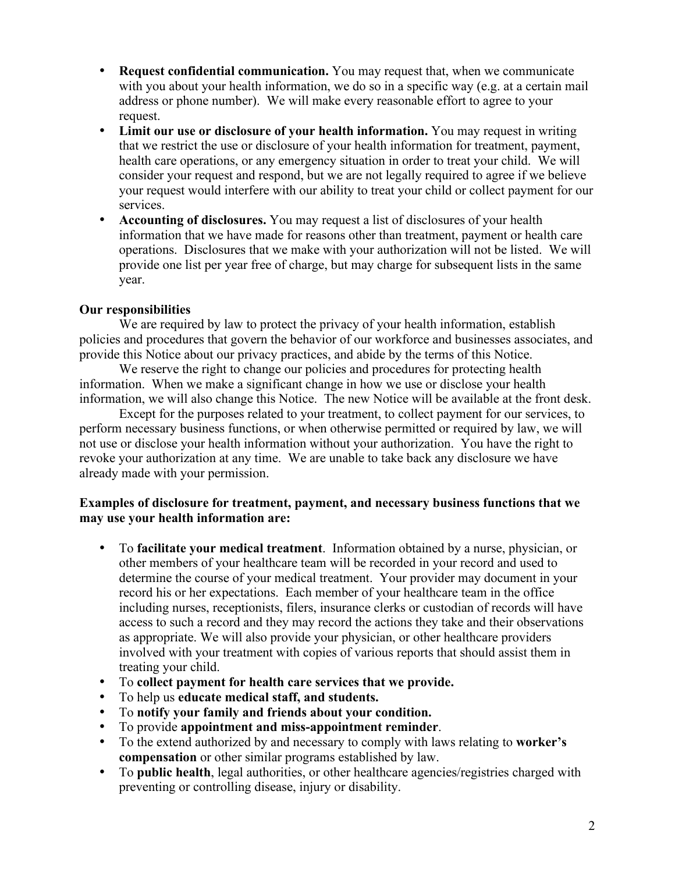- **Request confidential communication.** You may request that, when we communicate with you about your health information, we do so in a specific way (e.g. at a certain mail address or phone number). We will make every reasonable effort to agree to your request.
- **Limit our use or disclosure of your health information.** You may request in writing that we restrict the use or disclosure of your health information for treatment, payment, health care operations, or any emergency situation in order to treat your child. We will consider your request and respond, but we are not legally required to agree if we believe your request would interfere with our ability to treat your child or collect payment for our services.
- **Accounting of disclosures.** You may request a list of disclosures of your health information that we have made for reasons other than treatment, payment or health care operations. Disclosures that we make with your authorization will not be listed. We will provide one list per year free of charge, but may charge for subsequent lists in the same year.

# **Our responsibilities**

We are required by law to protect the privacy of your health information, establish policies and procedures that govern the behavior of our workforce and businesses associates, and provide this Notice about our privacy practices, and abide by the terms of this Notice.

We reserve the right to change our policies and procedures for protecting health information. When we make a significant change in how we use or disclose your health information, we will also change this Notice. The new Notice will be available at the front desk.

Except for the purposes related to your treatment, to collect payment for our services, to perform necessary business functions, or when otherwise permitted or required by law, we will not use or disclose your health information without your authorization. You have the right to revoke your authorization at any time. We are unable to take back any disclosure we have already made with your permission.

#### **Examples of disclosure for treatment, payment, and necessary business functions that we may use your health information are:**

- To **facilitate your medical treatment**. Information obtained by a nurse, physician, or other members of your healthcare team will be recorded in your record and used to determine the course of your medical treatment. Your provider may document in your record his or her expectations. Each member of your healthcare team in the office including nurses, receptionists, filers, insurance clerks or custodian of records will have access to such a record and they may record the actions they take and their observations as appropriate. We will also provide your physician, or other healthcare providers involved with your treatment with copies of various reports that should assist them in treating your child.
- To **collect payment for health care services that we provide.**
- To help us **educate medical staff, and students.**
- To **notify your family and friends about your condition.**
- To provide **appointment and miss-appointment reminder**.
- To the extend authorized by and necessary to comply with laws relating to **worker's compensation** or other similar programs established by law.
- To **public health**, legal authorities, or other healthcare agencies/registries charged with preventing or controlling disease, injury or disability.